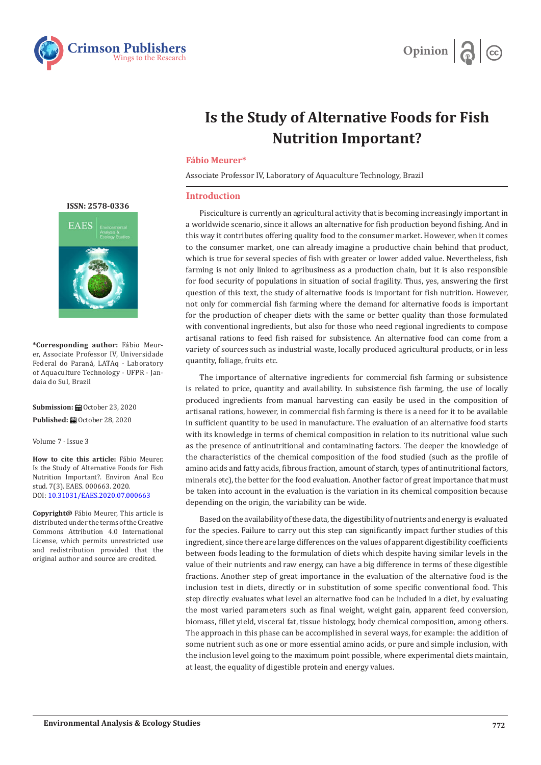



## **Is the Study of Alternative Foods for Fish Nutrition Important?**

## **Fábio Meurer\***

Associate Professor IV, Laboratory of Aquaculture Technology, Brazil

## **Introduction**

Pisciculture is currently an agricultural activity that is becoming increasingly important in a worldwide scenario, since it allows an alternative for fish production beyond fishing. And in this way it contributes offering quality food to the consumer market. However, when it comes to the consumer market, one can already imagine a productive chain behind that product, which is true for several species of fish with greater or lower added value. Nevertheless, fish farming is not only linked to agribusiness as a production chain, but it is also responsible for food security of populations in situation of social fragility. Thus, yes, answering the first question of this text, the study of alternative foods is important for fish nutrition. However, not only for commercial fish farming where the demand for alternative foods is important for the production of cheaper diets with the same or better quality than those formulated with conventional ingredients, but also for those who need regional ingredients to compose artisanal rations to feed fish raised for subsistence. An alternative food can come from a variety of sources such as industrial waste, locally produced agricultural products, or in less quantity, foliage, fruits etc.

The importance of alternative ingredients for commercial fish farming or subsistence is related to price, quantity and availability. In subsistence fish farming, the use of locally produced ingredients from manual harvesting can easily be used in the composition of artisanal rations, however, in commercial fish farming is there is a need for it to be available in sufficient quantity to be used in manufacture. The evaluation of an alternative food starts with its knowledge in terms of chemical composition in relation to its nutritional value such as the presence of antinutritional and contaminating factors. The deeper the knowledge of the characteristics of the chemical composition of the food studied (such as the profile of amino acids and fatty acids, fibrous fraction, amount of starch, types of antinutritional factors, minerals etc), the better for the food evaluation. Another factor of great importance that must be taken into account in the evaluation is the variation in its chemical composition because depending on the origin, the variability can be wide.

Based on the availability of these data, the digestibility of nutrients and energy is evaluated for the species. Failure to carry out this step can significantly impact further studies of this ingredient, since there are large differences on the values of apparent digestibility coefficients between foods leading to the formulation of diets which despite having similar levels in the value of their nutrients and raw energy, can have a big difference in terms of these digestible fractions. Another step of great importance in the evaluation of the alternative food is the inclusion test in diets, directly or in substitution of some specific conventional food. This step directly evaluates what level an alternative food can be included in a diet, by evaluating the most varied parameters such as final weight, weight gain, apparent feed conversion, biomass, fillet yield, visceral fat, tissue histology, body chemical composition, among others. The approach in this phase can be accomplished in several ways, for example: the addition of some nutrient such as one or more essential amino acids, or pure and simple inclusion, with the inclusion level going to the maximum point possible, where experimental diets maintain, at least, the equality of digestible protein and energy values.

**[ISSN: 2578-0336](https://www.crimsonpublishers.com/eaes/)**



**\*Corresponding author:** Fábio Meurer, Associate Professor IV, Universidade Federal do Paraná, LATAq - Laboratory of Aquaculture Technology - UFPR - Jandaia do Sul, Brazil

Submission: **自**October 23, 2020 **Published:** October 28, 2020

Volume 7 - Issue 3

**How to cite this article:** Fábio Meurer. Is the Study of Alternative Foods for Fish Nutrition Important?. Environ Anal Eco stud. 7(3). EAES. 000663. 2020. DOI: [10.31031/EAES.2020.07.00066](http://dx.doi.org/10.31031/EAES.2020.07.000663)3

**Copyright@** Fábio Meurer, This article is distributed under the terms of the Creative Commons Attribution 4.0 International License, which permits unrestricted use and redistribution provided that the original author and source are credited.